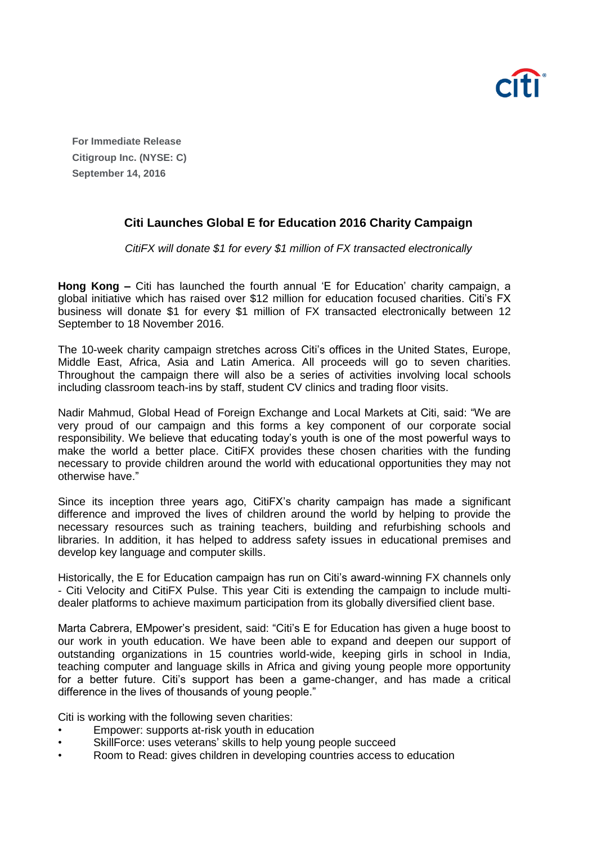

**For Immediate Release Citigroup Inc. (NYSE: C) September 14, 2016**

## **Citi Launches Global E for Education 2016 Charity Campaign**

*CitiFX will donate \$1 for every \$1 million of FX transacted electronically*

**Hong Kong –** Citi has launched the fourth annual 'E for Education' charity campaign, a global initiative which has raised over \$12 million for education focused charities. Citi's FX business will donate \$1 for every \$1 million of FX transacted electronically between 12 September to 18 November 2016.

The 10-week charity campaign stretches across Citi's offices in the United States, Europe, Middle East, Africa, Asia and Latin America. All proceeds will go to seven charities. Throughout the campaign there will also be a series of activities involving local schools including classroom teach-ins by staff, student CV clinics and trading floor visits.

Nadir Mahmud, Global Head of Foreign Exchange and Local Markets at Citi, said: "We are very proud of our campaign and this forms a key component of our corporate social responsibility. We believe that educating today's youth is one of the most powerful ways to make the world a better place. CitiFX provides these chosen charities with the funding necessary to provide children around the world with educational opportunities they may not otherwise have."

Since its inception three years ago, CitiFX's charity campaign has made a significant difference and improved the lives of children around the world by helping to provide the necessary resources such as training teachers, building and refurbishing schools and libraries. In addition, it has helped to address safety issues in educational premises and develop key language and computer skills.

Historically, the E for Education campaign has run on Citi's award-winning FX channels only - Citi Velocity and CitiFX Pulse. This year Citi is extending the campaign to include multidealer platforms to achieve maximum participation from its globally diversified client base.

Marta Cabrera, EMpower's president, said: "Citi's E for Education has given a huge boost to our work in youth education. We have been able to expand and deepen our support of outstanding organizations in 15 countries world-wide, keeping girls in school in India, teaching computer and language skills in Africa and giving young people more opportunity for a better future. Citi's support has been a game-changer, and has made a critical difference in the lives of thousands of young people."

Citi is working with the following seven charities:

- Empower: supports at-risk youth in education
- SkillForce: uses veterans' skills to help young people succeed
- Room to Read: gives children in developing countries access to education